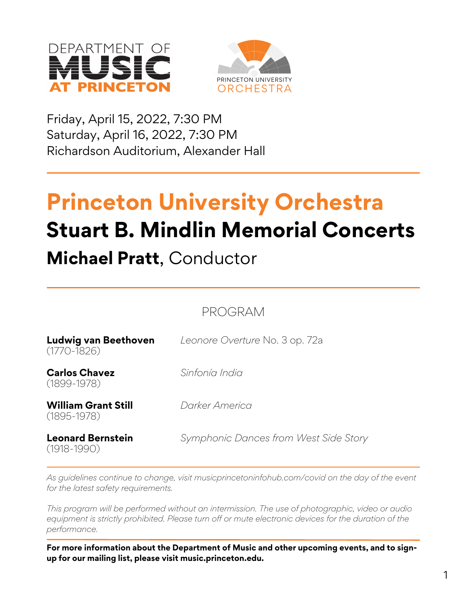



Friday, April 15, 2022, 7:30 PM Saturday, April 16, 2022, 7:30 PM Richardson Auditorium, Alexander Hall

# **Princeton University Orchestra Stuart B. Mindlin Memorial Concerts**

# **Michael Pratt**, Conductor

PROGRAM

| Ludwig van Beethoven<br>$(1770 - 1826)$<br><b>Carlos Chavez</b><br>$(1899 - 1978)$ | Leonore Overture No. 3 op. 72a<br>Sinfonía India |
|------------------------------------------------------------------------------------|--------------------------------------------------|
|                                                                                    |                                                  |
| <b>Leonard Bernstein</b><br>$(1918 - 1990)$                                        | Symphonic Dances from West Side Story            |

*As guidelines continue to change, visit musicprincetoninfohub.com/covid on the day of the event for the latest safety requirements.*

*This program will be performed without an intermission. The use of photographic, video or audio equipment is strictly prohibited. Please turn off or mute electronic devices for the duration of the performance.*

**For more information about the Department of Music and other upcoming events, and to signup for our mailing list, please visit music.princeton.edu.**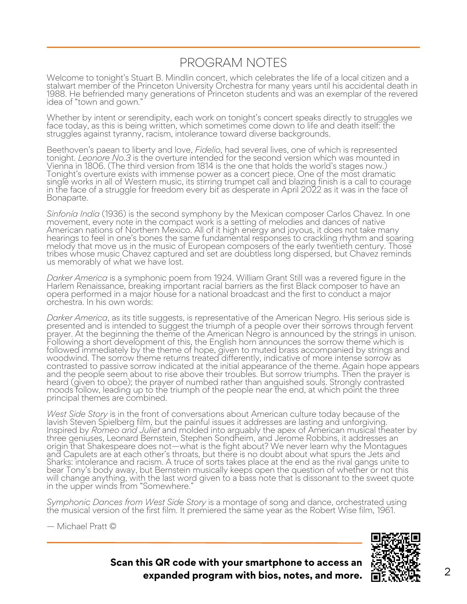### PROGRAM NOTES

Welcome to tonight's Stuart B. Mindlin concert, which celebrates the life of a local citizen and a stalwart member of the Princeton University Orchestra for many years until his accidental death in 1988. He befriended many generations of Princeton students and was an exemplar of the revered idea of "town and gown."

Whether by intent or serendipity, each work on tonight's concert speaks directly to struggles we face today, as this is being written, which sometimes come down to life and death itself. the struggles against tyranny, racism, intolerance toward diverse backgrounds.

Beethoven's paean to liberty and love, *Fidelio*, had several lives, one of which is represented tonight. *Leonore No.3* is the overture intended for the second version which was mounted in Vienna in 1806. (The third version from 1814 is the one that holds the world's stages now.) Tonight's overture exists with immense power as a concert piece. One of the most dramatic single works in all of Western music, its stirring trumpet call and blazing finish is a call to courage in the face of a struggle for freedom every bit as desperate in April 2022 as it was in the face of Bonaparte.

*Sinfonía India* (1936) is the second symphony by the Mexican composer Carlos Chavez. In one movement, every note in the compact work is a setting of melodies and dances of native American nations of Northern Mexico. All of it high energy and joyous, it does not take many hearings to feel in one's bones the same fundamental responses to crackling rhythm and soaring melody that move us in the music of European composers of the early twentieth century. Those tribes whose music Chavez captured and set are doubtless long dispersed, but Chavez reminds us memorably of what we have lost.

*Darker America* is a symphonic poem from 1924. William Grant Still was a revered figure in the Harlem Renaissance, breaking important racial barriers as the first Black composer to have an opera performed in a major house for a national broadcast and the first to conduct a major orchestra. In his own words:

*Darker America*, as its title suggests, is representative of the American Negro. His serious side is presented and is intended to suggest the triumph of a people over their sorrows through fervent prayer. At the beginning the theme of the American Negro is announced by the strings in unison. Following a short development of this, the English horn announces the sorrow theme which is followed immediately by the theme of hope, given to muted brass accompanied by strings and woodwind. The sorrow theme returns treated differently, indicative of more intense sorrow as contrasted to passive sorrow indicated at the initial appearance of the theme. Again hope appears and the people seem about to rise above their troubles. But sorrow triumphs. Then the prayer is heard (given to oboe); the prayer of numbed rather than anguished souls. Strongly contrasted moods follow, leading up to the triumph of the people near the end, at which point the three principal themes are combined.

*West Side Story* is in the front of conversations about American culture today because of the lavish Steven Spielberg film, but the painful issues it addresses are lasting and unforgiving. Inspired by *Romeo and Juliet* and molded into arguably the apex of American musical theater by three geniuses, Leonard Bernstein, Stephen Sondheim, and Jerome Robbins, it addresses an origin that Shakespeare does not—what is the fight about? We never learn why the Montagues and Capulets are at each other's throats, but there is no doubt about what spurs the Jets and Sharks: intolerance and racism. A truce of sorts takes place at the end as the rival gangs unite to bear Tony's body away, but Bernstein musically keeps open the question of whether or not this will change anything, with the last word given to a bass note that is dissonant to the sweet quote in the upper winds from "Somewhere."

*Symphonic Dances from West Side Story* is a montage of song and dance, orchestrated using the musical version of the first film. It premiered the same year as the Robert Wise film, 1961.





**Scan this QR code with your smartphone to access an expanded program with bios, notes, and more.**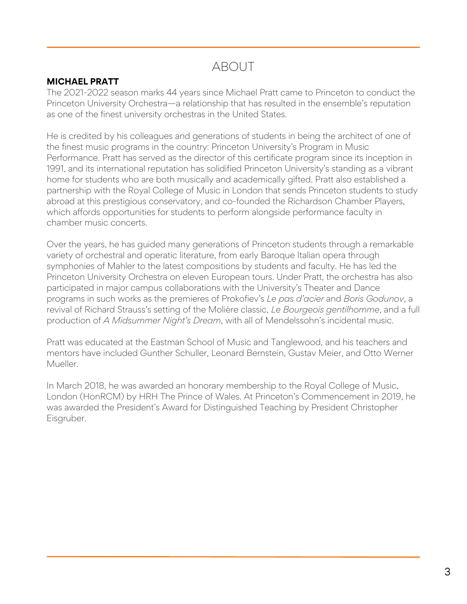## ABOUT

#### **MICHAEL PRATT**

The 2021-2022 season marks 44 years since Michael Pratt came to Princeton to conduct the Princeton University Orchestra—a relationship that has resulted in the ensemble's reputation as one of the finest university orchestras in the United States.

He is credited by his colleagues and generations of students in being the architect of one of the finest music programs in the country: Princeton University's Program in Music Performance. Pratt has served as the director of this certificate program since its inception in 1991, and its international reputation has solidified Princeton University's standing as a vibrant home for students who are both musically and academically gifted. Pratt also established a partnership with the Royal College of Music in London that sends Princeton students to study abroad at this prestigious conservatory, and co-founded the Richardson Chamber Players, which affords opportunities for students to perform alongside performance faculty in chamber music concerts.

Over the years, he has guided many generations of Princeton students through a remarkable variety of orchestral and operatic literature, from early Baroque Italian opera through symphonies of Mahler to the latest compositions by students and faculty. He has led the Princeton University Orchestra on eleven European tours. Under Pratt, the orchestra has also participated in major campus collaborations with the University's Theater and Dance programs in such works as the premieres of Prokofiev's *Le pas d'acier* and *Boris Godunov*, a revival of Richard Strauss's setting of the Molière classic, *Le Bourgeois gentilhomme*, and a full production of *A Midsummer Night's Dream*, with all of Mendelssohn's incidental music.

Pratt was educated at the Eastman School of Music and Tanglewood, and his teachers and mentors have included Gunther Schuller, Leonard Bernstein, Gustav Meier, and Otto Werner Mueller.

In March 2018, he was awarded an honorary membership to the Royal College of Music, London (HonRCM) by HRH The Prince of Wales. At Princeton's Commencement in 2019, he was awarded the President's Award for Distinguished Teaching by President Christopher Eisgruber.